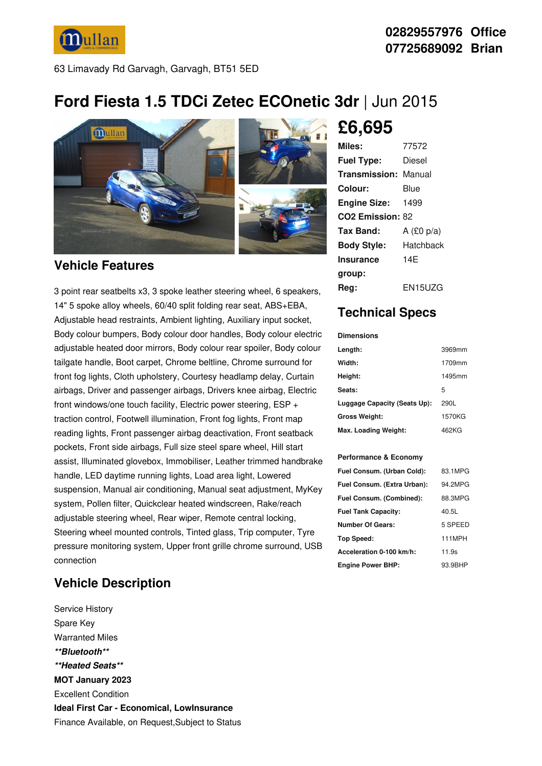**Mullan** 

63 Limavady Rd Garvagh, Garvagh, BT51 5ED

## **Ford Fiesta 1.5 TDCi Zetec ECOnetic 3dr** |Jun 2015



### **Vehicle Features**

3 point rear seatbelts x3, 3 spoke leather steering wheel, 6 speakers, 14" 5 spoke alloy wheels, 60/40 split folding rear seat, ABS+EBA, Adjustable head restraints, Ambient lighting, Auxiliary input socket, Body colour bumpers, Body colour door handles, Body colour electric adjustable heated door mirrors, Body colour rear spoiler, Body colour tailgate handle, Boot carpet, Chrome beltline, Chrome surround for front fog lights, Cloth upholstery, Courtesy headlamp delay, Curtain airbags, Driver and passenger airbags, Drivers knee airbag, Electric front windows/one touch facility, Electric power steering, ESP + traction control, Footwell illumination, Front fog lights, Front map reading lights, Front passenger airbag deactivation, Front seatback pockets, Front side airbags, Full size steel spare wheel, Hill start assist, Illuminated glovebox, Immobiliser, Leather trimmed handbrake handle, LED daytime running lights, Load area light, Lowered suspension, Manual air conditioning, Manual seat adjustment, MyKey system, Pollen filter, Quickclear heated windscreen, Rake/reach adjustable steering wheel, Rear wiper, Remote central locking, Steering wheel mounted controls, Tinted glass, Trip computer, Tyre pressure monitoring system, Upper front grille chrome surround, USB connection

## **Vehicle Description**

Service History Spare Key Warranted Miles *\*\*Bluetooth\*\* \*\*Heated Seats\*\** **MOT January 2023** Excellent Condition **Ideal First Car - Economical, LowInsurance** Finance Available, on Request,Subject to Status

# **£6,695**

| Miles:                       | 77572          |
|------------------------------|----------------|
| <b>Fuel Type:</b>            | Diesel         |
| <b>Transmission: Manual</b>  |                |
| Colour:                      | Blue           |
| <b>Engine Size:</b>          | 1499           |
| CO <sub>2</sub> Emission: 82 |                |
| Tax Band:                    | A $(£0 p/a)$   |
| <b>Body Style:</b>           | Hatchback      |
| <b>Insurance</b>             | 14F            |
| group:                       |                |
| Rea:                         | <b>EN15UZG</b> |

## **Technical Specs**

#### **Dimensions**

| Length:                      | 3969mm |
|------------------------------|--------|
| Width:                       | 1709mm |
| Height:                      | 1495mm |
| Seats:                       | 5      |
| Luggage Capacity (Seats Up): | 290L   |
| <b>Gross Weight:</b>         | 1570KG |
| Max. Loading Weight:         | 462KG  |

### **Performance & Economy**

| Fuel Consum. (Urban Cold):  | 83.1MPG       |
|-----------------------------|---------------|
| Fuel Consum. (Extra Urban): | 94.2MPG       |
| Fuel Consum. (Combined):    | 88.3MPG       |
| <b>Fuel Tank Capacity:</b>  | 40.5L         |
| <b>Number Of Gears:</b>     | 5 SPEED       |
| Top Speed:                  | <b>111MPH</b> |
| Acceleration 0-100 km/h:    | 11.9s         |
| <b>Engine Power BHP:</b>    | 93.9BHP       |